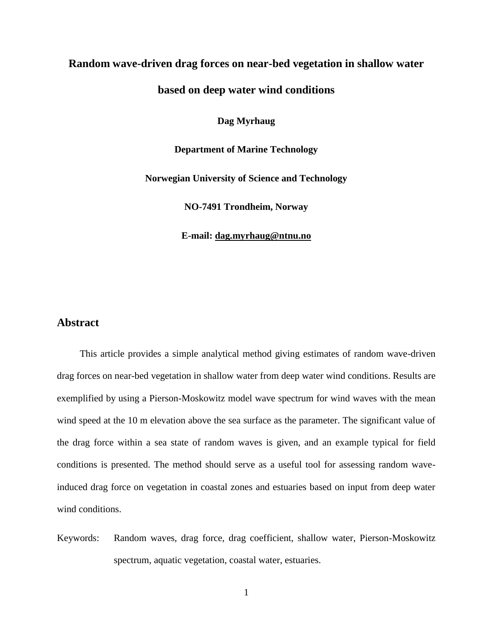# **Random wave-driven drag forces on near-bed vegetation in shallow water**

## **based on deep water wind conditions**

**Dag Myrhaug**

**Department of Marine Technology**

**Norwegian University of Science and Technology**

**NO-7491 Trondheim, Norway**

**E-mail: [dag.myrhaug@ntnu.no](mailto:dag.myrhaug@ntnu.no)**

#### **Abstract**

This article provides a simple analytical method giving estimates of random wave-driven drag forces on near-bed vegetation in shallow water from deep water wind conditions. Results are exemplified by using a Pierson-Moskowitz model wave spectrum for wind waves with the mean wind speed at the 10 m elevation above the sea surface as the parameter. The significant value of the drag force within a sea state of random waves is given, and an example typical for field conditions is presented. The method should serve as a useful tool for assessing random waveinduced drag force on vegetation in coastal zones and estuaries based on input from deep water wind conditions.

Keywords: Random waves, drag force, drag coefficient, shallow water, Pierson-Moskowitz spectrum, aquatic vegetation, coastal water, estuaries.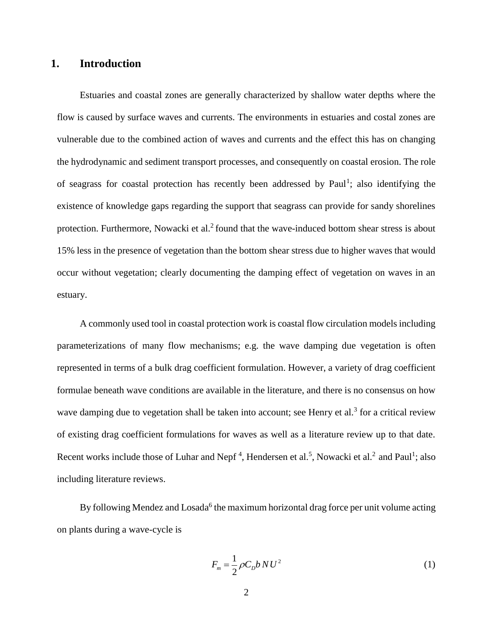### **1. Introduction**

Estuaries and coastal zones are generally characterized by shallow water depths where the flow is caused by surface waves and currents. The environments in estuaries and costal zones are vulnerable due to the combined action of waves and currents and the effect this has on changing the hydrodynamic and sediment transport processes, and consequently on coastal erosion. The role of seagrass for coastal protection has recently been addressed by Paul<sup>1</sup>; also identifying the existence of knowledge gaps regarding the support that seagrass can provide for sandy shorelines protection. Furthermore, Nowacki et al.<sup>2</sup> found that the wave-induced bottom shear stress is about 15% less in the presence of vegetation than the bottom shear stress due to higher waves that would occur without vegetation; clearly documenting the damping effect of vegetation on waves in an estuary.

A commonly used tool in coastal protection work is coastal flow circulation models including parameterizations of many flow mechanisms; e.g. the wave damping due vegetation is often represented in terms of a bulk drag coefficient formulation. However, a variety of drag coefficient formulae beneath wave conditions are available in the literature, and there is no consensus on how wave damping due to vegetation shall be taken into account; see Henry et al.<sup>3</sup> for a critical review of existing drag coefficient formulations for waves as well as a literature review up to that date. Recent works include those of Luhar and Nepf<sup>4</sup>, Hendersen et al.<sup>5</sup>, Nowacki et al.<sup>2</sup> and Paul<sup>1</sup>; also including literature reviews.

By following Mendez and Losada<sup>6</sup> the maximum horizontal drag force per unit volume acting on plants during a wave-cycle is

$$
F_m = \frac{1}{2} \rho C_D b N U^2 \tag{1}
$$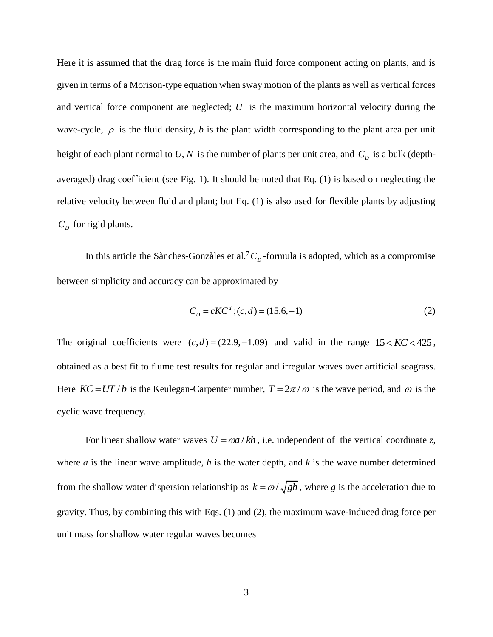Here it is assumed that the drag force is the main fluid force component acting on plants, and is given in terms of a Morison-type equation when sway motion of the plants as well as vertical forces and vertical force component are neglected; *U* is the maximum horizontal velocity during the wave-cycle,  $\rho$  is the fluid density, *b* is the plant width corresponding to the plant area per unit height of each plant normal to U, N is the number of plants per unit area, and  $C_D$  is a bulk (depthaveraged) drag coefficient (see Fig. 1). It should be noted that Eq. (1) is based on neglecting the relative velocity between fluid and plant; but Eq. (1) is also used for flexible plants by adjusting  $C<sub>D</sub>$  for rigid plants.

In this article the Sànches-Gonzàles et al.<sup>7</sup> $C<sub>D</sub>$ -formula is adopted, which as a compromise between simplicity and accuracy can be approximated by

$$
C_D = cKC^d
$$
;  $(c,d) = (15.6, -1)$  (2)

The original coefficients were  $(c,d) = (22.9, -1.09)$  and valid in the range  $15 < KC < 425$ , obtained as a best fit to flume test results for regular and irregular waves over artificial seagrass. Here  $KC = UT/b$  is the Keulegan-Carpenter number,  $T = 2\pi/\omega$  is the wave period, and  $\omega$  is the cyclic wave frequency.

For linear shallow water waves  $U = \omega a / kh$ , i.e. independent of the vertical coordinate *z*, where *a* is the linear wave amplitude, *h* is the water depth, and *k* is the wave number determined from the shallow water dispersion relationship as  $k = \omega / \sqrt{gh}$ , where *g* is the acceleration due to gravity. Thus, by combining this with Eqs. (1) and (2), the maximum wave-induced drag force per unit mass for shallow water regular waves becomes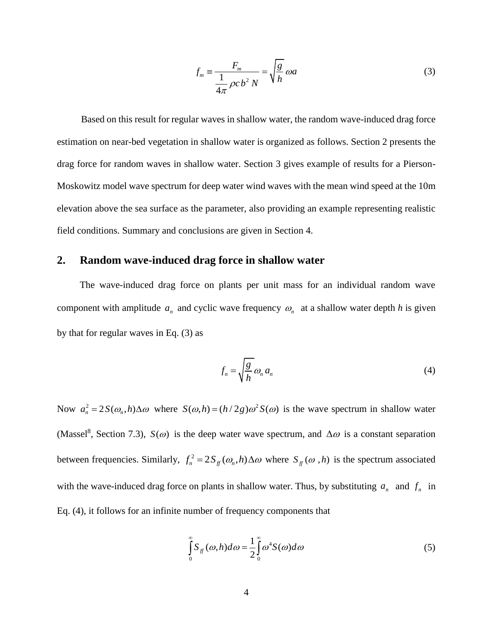$$
f_m \equiv \frac{F_m}{\frac{1}{4\pi} \rho c b^2 N} = \sqrt{\frac{g}{h}} \omega a
$$
 (3)

 Based on this result for regular waves in shallow water, the random wave-induced drag force estimation on near-bed vegetation in shallow water is organized as follows. Section 2 presents the drag force for random waves in shallow water. Section 3 gives example of results for a Pierson-Moskowitz model wave spectrum for deep water wind waves with the mean wind speed at the 10m elevation above the sea surface as the parameter, also providing an example representing realistic field conditions. Summary and conclusions are given in Section 4.

#### **2. Random wave-induced drag force in shallow water**

The wave-induced drag force on plants per unit mass for an individual random wave component with amplitude  $a_n$  and cyclic wave frequency  $a_n$  at a shallow water depth *h* is given by that for regular waves in Eq. (3) as

$$
f_n = \sqrt{\frac{g}{h}} \omega_n a_n \tag{4}
$$

Now  $a_n^2 = 2S(\omega_n, h)\Delta\omega$  where  $S(\omega, h) = (h/2g)\omega^2 S(\omega)$  is the wave spectrum in shallow water (Massel<sup>8</sup>, Section 7.3),  $S(\omega)$  is the deep water wave spectrum, and  $\Delta \omega$  is a constant separation between frequencies. Similarly,  $f_n^2 = 2S_f(\omega_n, h) \Delta \omega$  where  $S_f(\omega, h)$  is the spectrum associated with the wave-induced drag force on plants in shallow water. Thus, by substituting  $a_n$  and  $f_n$  in Eq. (4), it follows for an infinite number of frequency components that

$$
\int_{0}^{\infty} S_{ff}(\omega, h) d\omega = \frac{1}{2} \int_{0}^{\infty} \omega^4 S(\omega) d\omega
$$
 (5)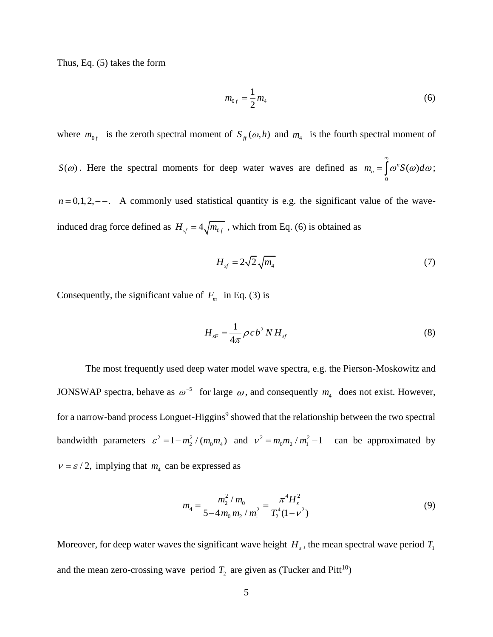Thus, Eq. (5) takes the form

$$
m_{0f} = \frac{1}{2} m_4 \tag{6}
$$

where  $m_{0f}$  is the zeroth spectral moment of  $S_f(\omega, h)$  and  $m_4$  is the fourth spectral moment of

 $S(\omega)$ . Here the spectral moments for deep water waves are defined as 0  $m_n = \int_0^\infty \omega^n S(\omega) d\omega;$  $=\int \omega^n S(\omega) d\omega;$ 

 $n = 0, 1, 2, -$ . A commonly used statistical quantity is e.g. the significant value of the waveinduced drag force defined as  $H_{sf} = 4\sqrt{m_{0f}}$ , which from Eq. (6) is obtained as

$$
H_{sf} = 2\sqrt{2}\sqrt{m_4} \tag{7}
$$

Consequently, the significant value of  $F_m$  in Eq. (3) is

$$
H_{sF} = \frac{1}{4\pi} \rho c b^2 N H_{sf} \tag{8}
$$

The most frequently used deep water model wave spectra, e.g. the Pierson-Moskowitz and JONSWAP spectra, behave as  $\omega^{-5}$  for large  $\omega$ , and consequently  $m_4$  does not exist. However, for a narrow-band process Longuet-Higgins<sup>9</sup> showed that the relationship between the two spectral bandwidth parameters  $\varepsilon^2 = 1 - m_2^2 / (m_0 m_4)$  and  $v^2 = m_0 m_2 / m_1^2 - 1$  can be approximated by  $v = \varepsilon / 2$ , implying that  $m_4$  can be expressed as

$$
m_4 = \frac{m_2^2 / m_0}{5 - 4m_0 m_2 / m_1^2} = \frac{\pi^4 H_s^2}{T_2^4 (1 - v^2)}
$$
(9)

Moreover, for deep water waves the significant wave height  $H_s$ , the mean spectral wave period  $T_1$ and the mean zero-crossing wave period  $T_2$  are given as (Tucker and Pitt<sup>10</sup>)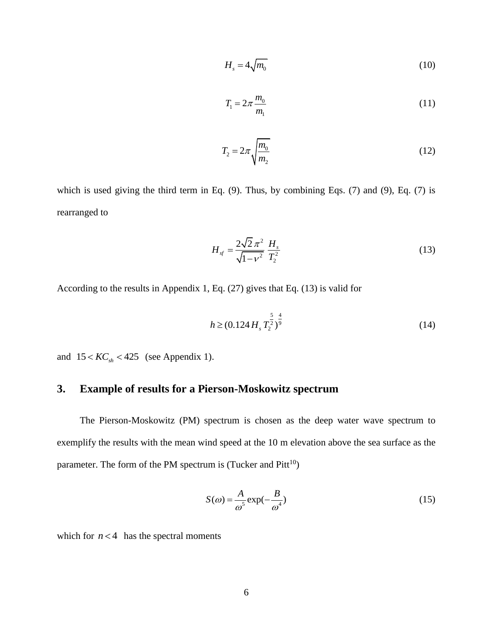$$
H_s = 4\sqrt{m_0} \tag{10}
$$

$$
T_1 = 2\pi \frac{m_0}{m_1} \tag{11}
$$

$$
T_2 = 2\pi \sqrt{\frac{m_0}{m_2}}\tag{12}
$$

which is used giving the third term in Eq. (9). Thus, by combining Eqs. (7) and (9), Eq. (7) is rearranged to

$$
H_{sf} = \frac{2\sqrt{2}\,\pi^2}{\sqrt{1-v^2}}\,\frac{H_s}{T_2^2} \tag{13}
$$

According to the results in Appendix 1, Eq. (27) gives that Eq. (13) is valid for

$$
h \ge (0.124 H_s T_2^{\frac{5}{2}})^{\frac{4}{9}}
$$
 (14)

and  $15 < KC<sub>sh</sub> < 425$  (see Appendix 1).

# **3. Example of results for a Pierson-Moskowitz spectrum**

The Pierson-Moskowitz (PM) spectrum is chosen as the deep water wave spectrum to exemplify the results with the mean wind speed at the 10 m elevation above the sea surface as the parameter. The form of the PM spectrum is (Tucker and  $Pitt^{10}$ )

$$
S(\omega) = \frac{A}{\omega^5} \exp(-\frac{B}{\omega^4})
$$
\n(15)

which for  $n < 4$  has the spectral moments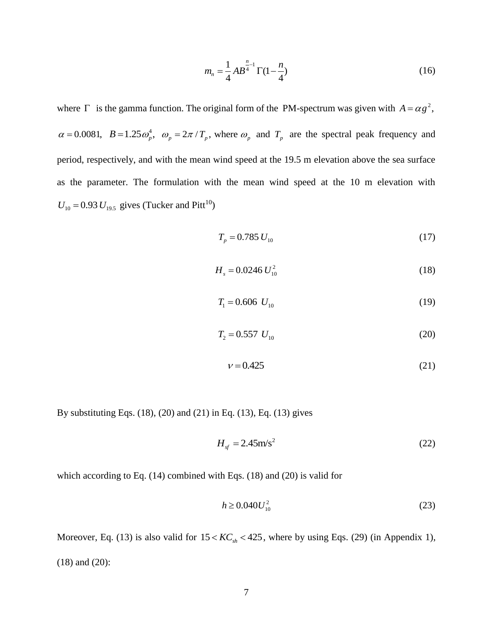$$
m_n = \frac{1}{4} AB^{\frac{n}{4}-1} \Gamma(1-\frac{n}{4})
$$
 (16)

where  $\Gamma$  is the gamma function. The original form of the PM-spectrum was given with  $A = \alpha g^2$ ,  $\alpha = 0.0081$ ,  $B = 1.25 \omega_p^4$ ,  $\omega_p = 2\pi / T_p$ , where  $\omega_p$  and  $T_p$  are the spectral peak frequency and period, respectively, and with the mean wind speed at the 19.5 m elevation above the sea surface as the parameter. The formulation with the mean wind speed at the 10 m elevation with  $U_{10} = 0.93 U_{19.5}$  gives (Tucker and Pitt<sup>10</sup>)

$$
T_p = 0.785 U_{10} \tag{17}
$$

$$
H_s = 0.0246 U_{10}^2 \tag{18}
$$

$$
T_1 = 0.606 \ U_{10} \tag{19}
$$

$$
T_2 = 0.557 U_{10} \tag{20}
$$

$$
v = 0.425\tag{21}
$$

By substituting Eqs. (18), (20) and (21) in Eq. (13), Eq. (13) gives

$$
H_{sf} = 2.45 \text{m/s}^2 \tag{22}
$$

which according to Eq. (14) combined with Eqs. (18) and (20) is valid for

$$
h \ge 0.040 U_{10}^2 \tag{23}
$$

Moreover, Eq. (13) is also valid for  $15 < KC_{sh} < 425$ , where by using Eqs. (29) (in Appendix 1), (18) and (20):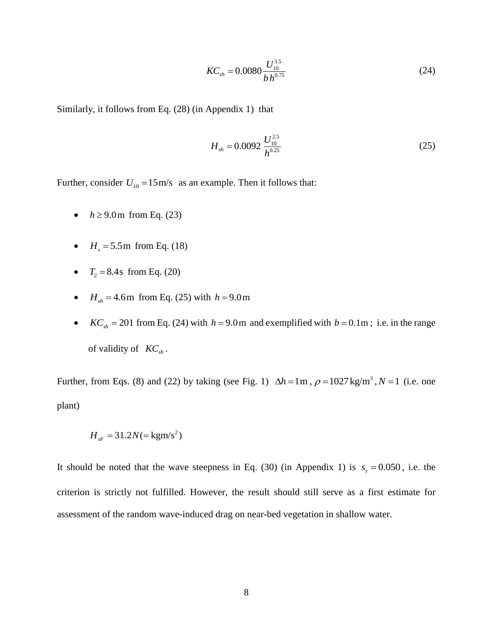$$
KC_{sh} = 0.0080 \frac{U_{10}^{3.5}}{bh^{0.75}}
$$
 (24)

Similarly, it follows from Eq. (28) (in Appendix 1) that

$$
H_{sh} = 0.0092 \frac{U_{10}^{2.5}}{h^{0.25}}
$$
 (25)

Further, consider  $U_{10} = 15 \text{ m/s}$  as an example. Then it follows that:

- $h \geq 9.0$  m from Eq. (23)
- $H_s = 5.5 \text{ m from Eq. (18)}$
- $T_2 = 8.4$ s from Eq. (20)
- $H_{sh} = 4.6 \text{m}$  from Eq. (25) with  $h = 9.0 \text{m}$
- $KC_{sh} = 201$  from Eq. (24) with  $h = 9.0$ m and exemplified with  $b = 0.1$ m; i.e. in the range of validity of *KCsh* .

Further, from Eqs. (8) and (22) by taking (see Fig. 1)  $\Delta h = 1 \text{ m}$ ,  $\rho = 1027 \text{ kg/m}^3$ ,  $N = 1$  (i.e. one plant)

$$
H_{sF} = 31.2N = \text{kgm/s}^2
$$

It should be noted that the wave steepness in Eq. (30) (in Appendix 1) is  $s<sub>s</sub> = 0.050$ , i.e. the criterion is strictly not fulfilled. However, the result should still serve as a first estimate for assessment of the random wave-induced drag on near-bed vegetation in shallow water.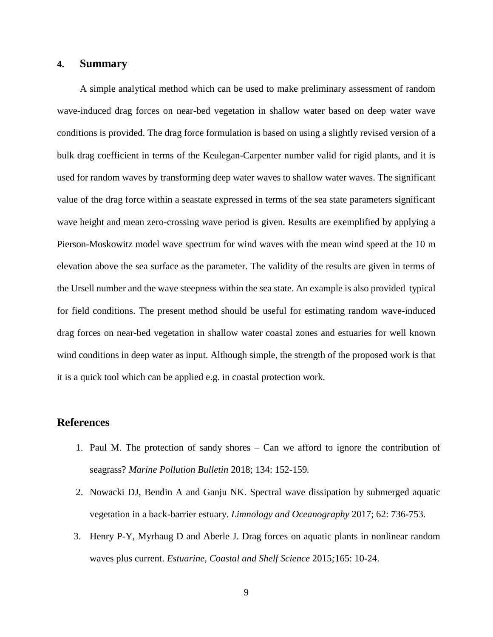#### **4. Summary**

A simple analytical method which can be used to make preliminary assessment of random wave-induced drag forces on near-bed vegetation in shallow water based on deep water wave conditions is provided. The drag force formulation is based on using a slightly revised version of a bulk drag coefficient in terms of the Keulegan-Carpenter number valid for rigid plants, and it is used for random waves by transforming deep water waves to shallow water waves. The significant value of the drag force within a seastate expressed in terms of the sea state parameters significant wave height and mean zero-crossing wave period is given. Results are exemplified by applying a Pierson-Moskowitz model wave spectrum for wind waves with the mean wind speed at the 10 m elevation above the sea surface as the parameter. The validity of the results are given in terms of the Ursell number and the wave steepness within the sea state. An example is also provided typical for field conditions. The present method should be useful for estimating random wave-induced drag forces on near-bed vegetation in shallow water coastal zones and estuaries for well known wind conditions in deep water as input. Although simple, the strength of the proposed work is that it is a quick tool which can be applied e.g. in coastal protection work.

#### **References**

- 1. Paul M. The protection of sandy shores Can we afford to ignore the contribution of seagrass? *Marine Pollution Bulletin* 2018; 134: 152-159*.*
- 2. Nowacki DJ, Bendin A and Ganju NK. Spectral wave dissipation by submerged aquatic vegetation in a back-barrier estuary. *Limnology and Oceanography* 2017; 62: 736-753.
- 3. Henry P-Y, Myrhaug D and Aberle J. Drag forces on aquatic plants in nonlinear random waves plus current. *Estuarine, Coastal and Shelf Science* 2015*;*165: 10-24.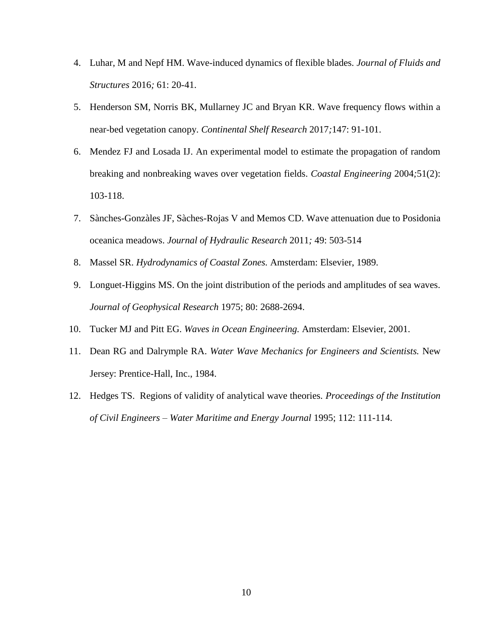- 4. Luhar, M and Nepf HM. Wave-induced dynamics of flexible blades. *Journal of Fluids and Structures* 2016*;* 61: 20-41.
- 5. Henderson SM, Norris BK, Mullarney JC and Bryan KR. Wave frequency flows within a near-bed vegetation canopy. *Continental Shelf Research* 2017*;*147: 91-101.
- 6. Mendez FJ and Losada IJ. An experimental model to estimate the propagation of random breaking and nonbreaking waves over vegetation fields. *Coastal Engineering* 2004*;*51(2): 103-118.
- 7. Sànches-Gonzàles JF, Sàches-Rojas V and Memos CD. Wave attenuation due to Posidonia oceanica meadows. *Journal of Hydraulic Research* 2011*;* 49: 503-514
- 8. Massel SR. *Hydrodynamics of Coastal Zones.* Amsterdam: Elsevier, 1989.
- 9. Longuet-Higgins MS. On the joint distribution of the periods and amplitudes of sea waves. *Journal of Geophysical Research* 1975; 80: 2688-2694.
- 10. Tucker MJ and Pitt EG. *Waves in Ocean Engineering.* Amsterdam: Elsevier, 2001.
- 11. Dean RG and Dalrymple RA. *Water Wave Mechanics for Engineers and Scientists.* New Jersey: Prentice-Hall, Inc., 1984.
- 12. Hedges TS. Regions of validity of analytical wave theories. *Proceedings of the Institution of Civil Engineers – Water Maritime and Energy Journal* 1995; 112: 111-114.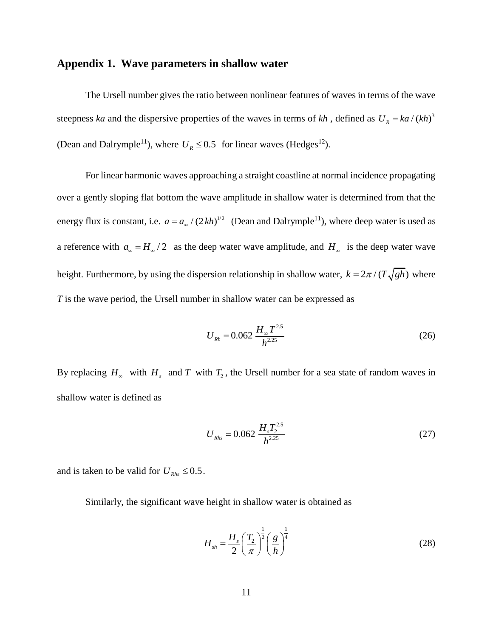### **Appendix 1. Wave parameters in shallow water**

The Ursell number gives the ratio between nonlinear features of waves in terms of the wave steepness *ka* and the dispersive properties of the waves in terms of *kh*, defined as  $U_R = ka/(kh)^3$ (Dean and Dalrymple<sup>11</sup>), where  $U_R \le 0.5$  for linear waves (Hedges<sup>12</sup>).

For linear harmonic waves approaching a straight coastline at normal incidence propagating over a gently sloping flat bottom the wave amplitude in shallow water is determined from that the energy flux is constant, i.e.  $a = a_{\infty} / (2kh)^{1/2}$  (Dean and Dalrymple<sup>11</sup>), where deep water is used as a reference with  $a_{\infty} = H_{\infty}/2$  as the deep water wave amplitude, and  $H_{\infty}$  is the deep water wave height. Furthermore, by using the dispersion relationship in shallow water,  $k = 2\pi / (T\sqrt{gh})$  where *T* is the wave period, the Ursell number in shallow water can be expressed as

$$
U_{Rh} = 0.062 \frac{H_{\infty} T^{2.5}}{h^{2.25}}
$$
 (26)

By replacing  $H_{\infty}$  with  $H_{s}$  and *T* with  $T_{2}$ , the Ursell number for a sea state of random waves in shallow water is defined as

$$
U_{Rhs} = 0.062 \frac{H_s T_2^{2.5}}{h^{2.25}}
$$
 (27)

and is taken to be valid for  $U_{Rhs} \leq 0.5$ .

Similarly, the significant wave height in shallow water is obtained as

$$
H_{sh} = \frac{H_s}{2} \left(\frac{T_2}{\pi}\right)^{\frac{1}{2}} \left(\frac{g}{h}\right)^{\frac{1}{4}}
$$
 (28)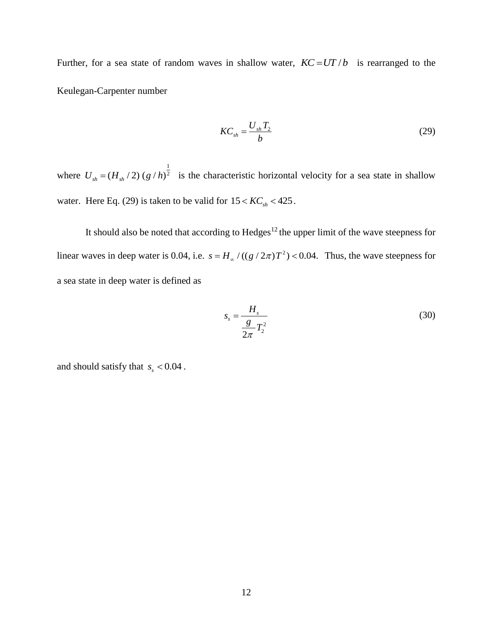Further, for a sea state of random waves in shallow water,  $KC = UT/b$  is rearranged to the Keulegan-Carpenter number

$$
KC_{sh} = \frac{U_{sh}T_2}{b}
$$
 (29)

where 1  $U_{sh} = (H_{sh}/2) (g/h)^{\frac{1}{2}}$  is the characteristic horizontal velocity for a sea state in shallow water. Here Eq. (29) is taken to be valid for  $15 < KC<sub>sh</sub> < 425$ .

It should also be noted that according to  $Hedges^{12}$  the upper limit of the wave steepness for linear waves in deep water is 0.04, i.e.  $s = H_{\infty} / ((g / 2\pi)T^2)$  $s = H_{\infty} / ((g / 2\pi) T^2)$  < 0.04. Thus, the wave steepness for a sea state in deep water is defined as

$$
s_s = \frac{H_s}{\frac{g}{2\pi}T_2^2} \tag{30}
$$

and should satisfy that  $s<sub>s</sub> < 0.04$ .